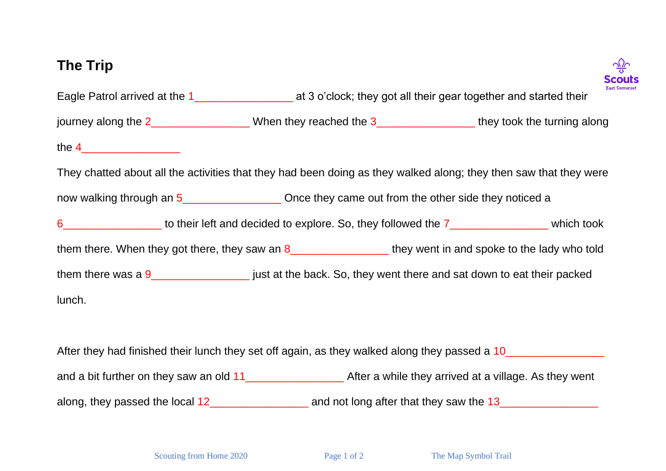## **The Trip**



Eagle Patrol arrived at the 1 and 1 at 3 o'clock; they got all their gear together and started their journey along the 2\_\_\_\_\_\_\_\_\_\_\_\_\_\_\_\_\_\_When they reached the 3\_\_\_\_\_\_\_\_\_\_\_\_\_\_\_\_\_\_\_\_they took the turning along the  $4$ They chatted about all the activities that they had been doing as they walked along; they then saw that they were now walking through an 5\_\_\_\_\_\_\_\_\_\_\_\_\_\_\_\_ Once they came out from the other side they noticed a 6\_\_\_\_\_\_\_\_\_\_\_\_\_\_\_\_ to their left and decided to explore. So, they followed the 7\_\_\_\_\_\_\_\_\_\_\_\_\_\_\_\_ which took them there. When they got there, they saw an 8\_\_\_\_\_\_\_\_\_\_\_\_\_\_\_\_\_\_\_\_\_\_ they went in and spoke to the lady who told them there was a  $9$   $\qquad \qquad$  just at the back. So, they went there and sat down to eat their packed lunch.

After they had finished their lunch they set off again, as they walked along they passed a 10 and a bit further on they saw an old 11\_\_\_\_\_\_\_\_\_\_\_\_\_\_\_\_\_\_\_\_\_\_\_ After a while they arrived at a village. As they went along, they passed the local 12 and not long after that they saw the 13